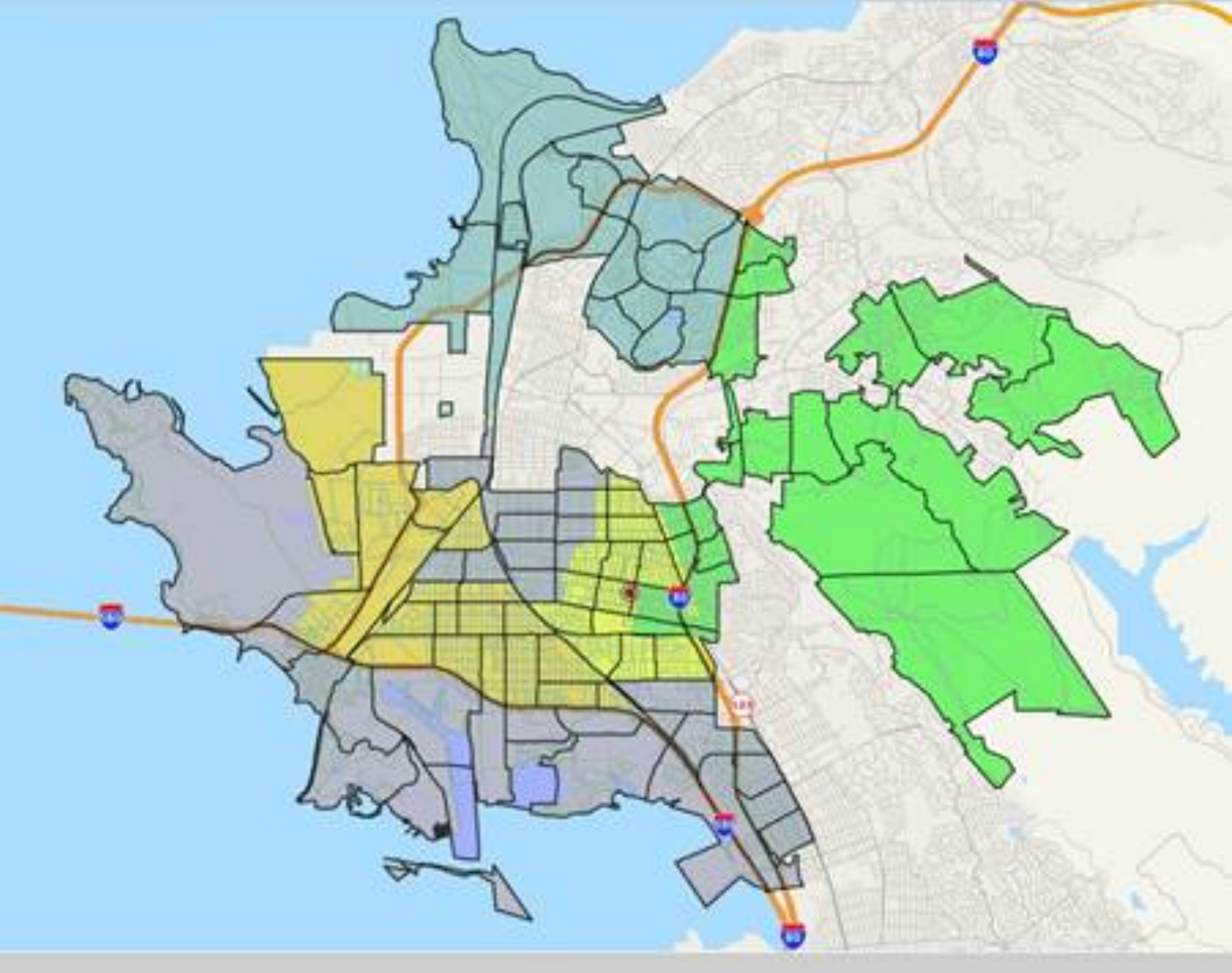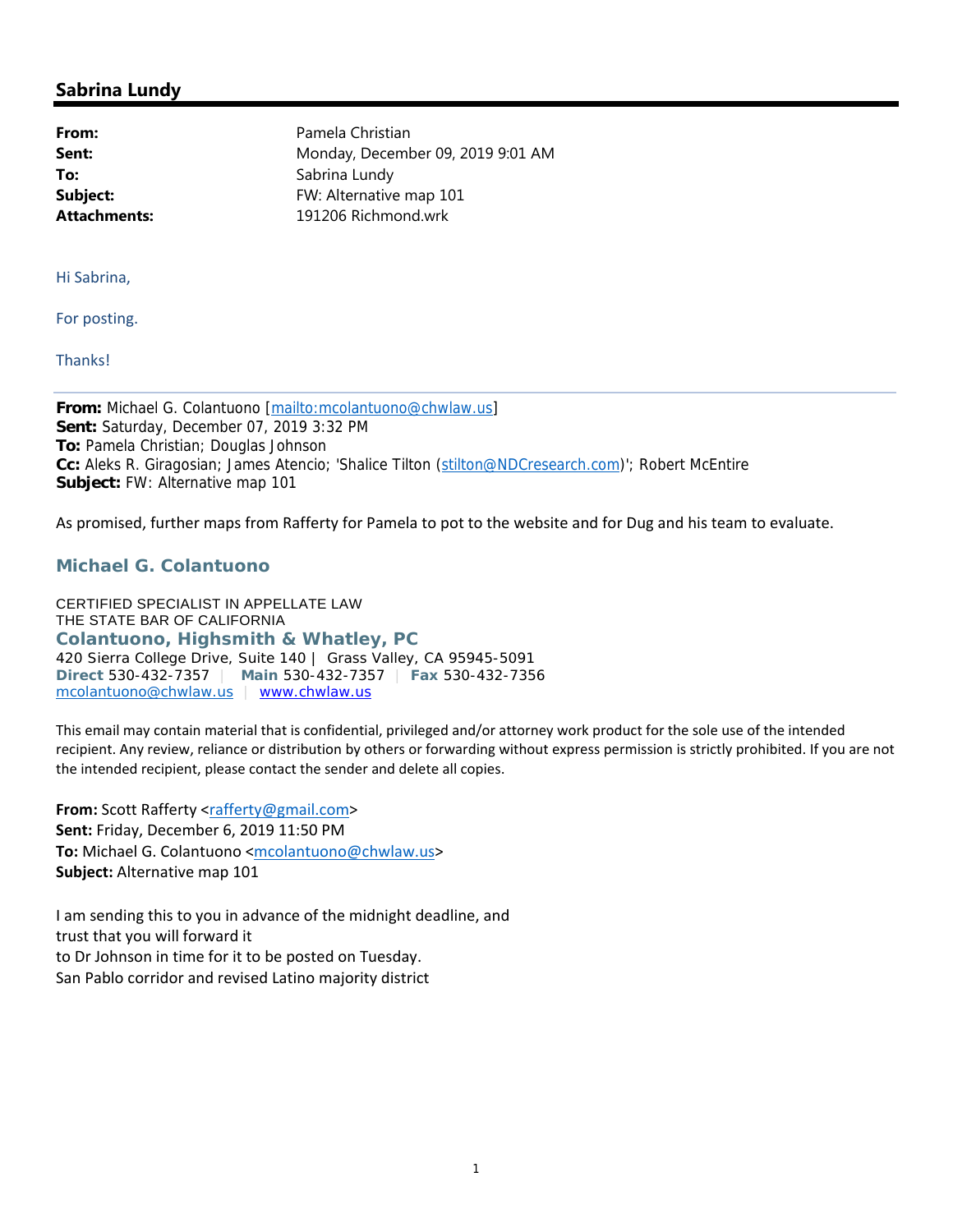## **Sabrina Lundy**

**From:** Pamela Christian **Sent:** Monday, December 09, 2019 9:01 AM **To:** Sabrina Lundy **Subject:** FW: Alternative map 101 **Attachments:** 191206 Richmond.wrk

Hi Sabrina,

For posting.

Thanks!

**From:** Michael G. Colantuono [mailto:mcolantuono@chwlaw.us] **Sent:** Saturday, December 07, 2019 3:32 PM **To:** Pamela Christian; Douglas Johnson **Cc:** Aleks R. Giragosian; James Atencio; 'Shalice Tilton (stilton@NDCresearch.com)'; Robert McEntire **Subject:** FW: Alternative map 101

As promised, further maps from Rafferty for Pamela to pot to the website and for Dug and his team to evaluate.

## **Michael G. Colantuono**

CERTIFIED SPECIALIST IN APPELLATE LAW THE STATE BAR OF CALIFORNIA **Colantuono, Highsmith & Whatley, PC** 420 Sierra College Drive, Suite 140 | Grass Valley, CA 95945-5091 **Direct** 530-432-7357 | **Main** 530-432-7357 | **Fax** 530-432-7356 mcolantuono@chwlaw.us | www.chwlaw.us

This email may contain material that is confidential, privileged and/or attorney work product for the sole use of the intended recipient. Any review, reliance or distribution by others or forwarding without express permission is strictly prohibited. If you are not the intended recipient, please contact the sender and delete all copies.

**From:** Scott Rafferty <rafferty@gmail.com> **Sent:** Friday, December 6, 2019 11:50 PM **To:** Michael G. Colantuono <mcolantuono@chwlaw.us> **Subject:** Alternative map 101

I am sending this to you in advance of the midnight deadline, and trust that you will forward it to Dr Johnson in time for it to be posted on Tuesday. San Pablo corridor and revised Latino majority district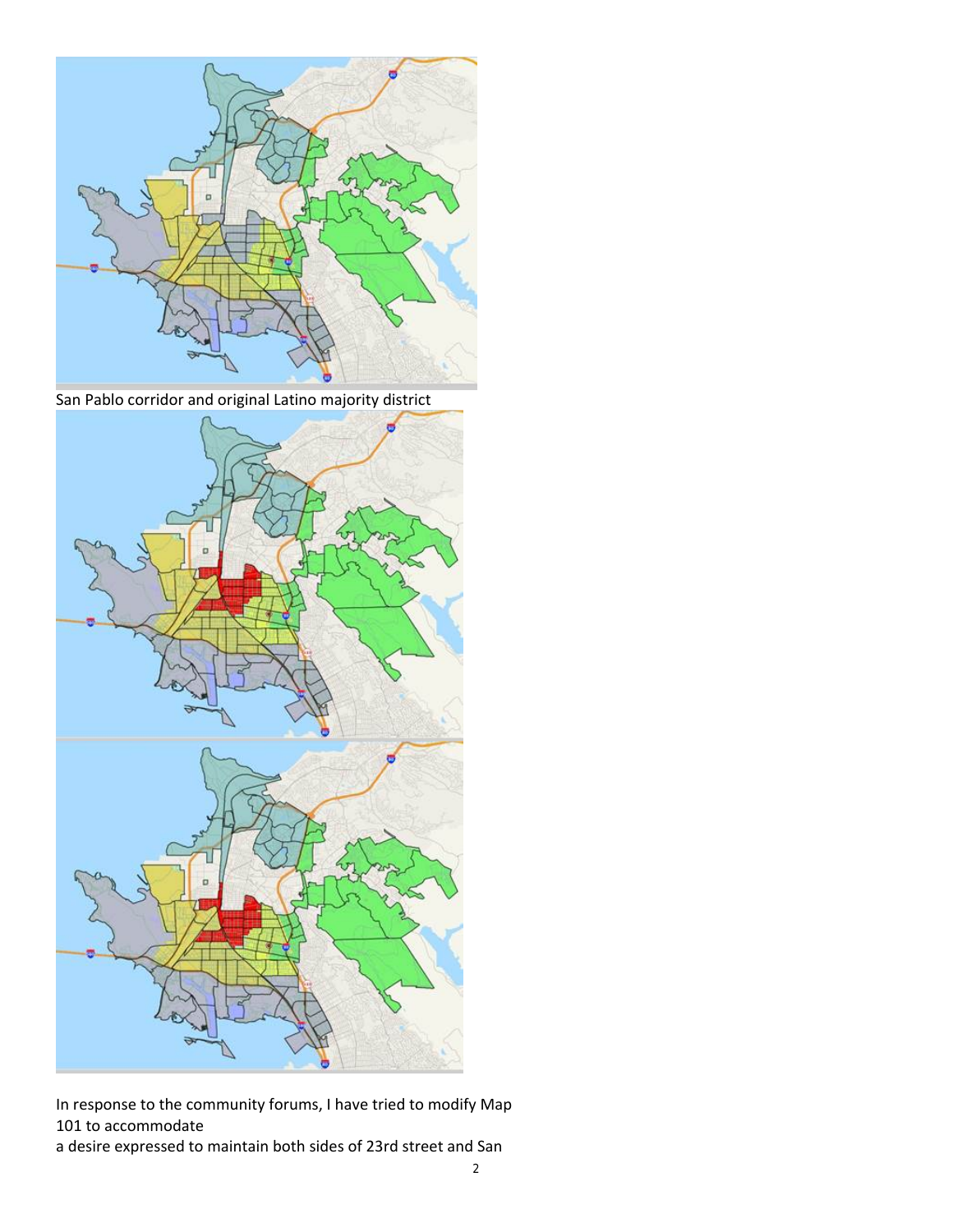

San Pablo corridor and original Latino majority district



In response to the community forums, I have tried to modify Map 101 to accommodate

a desire expressed to maintain both sides of 23rd street and San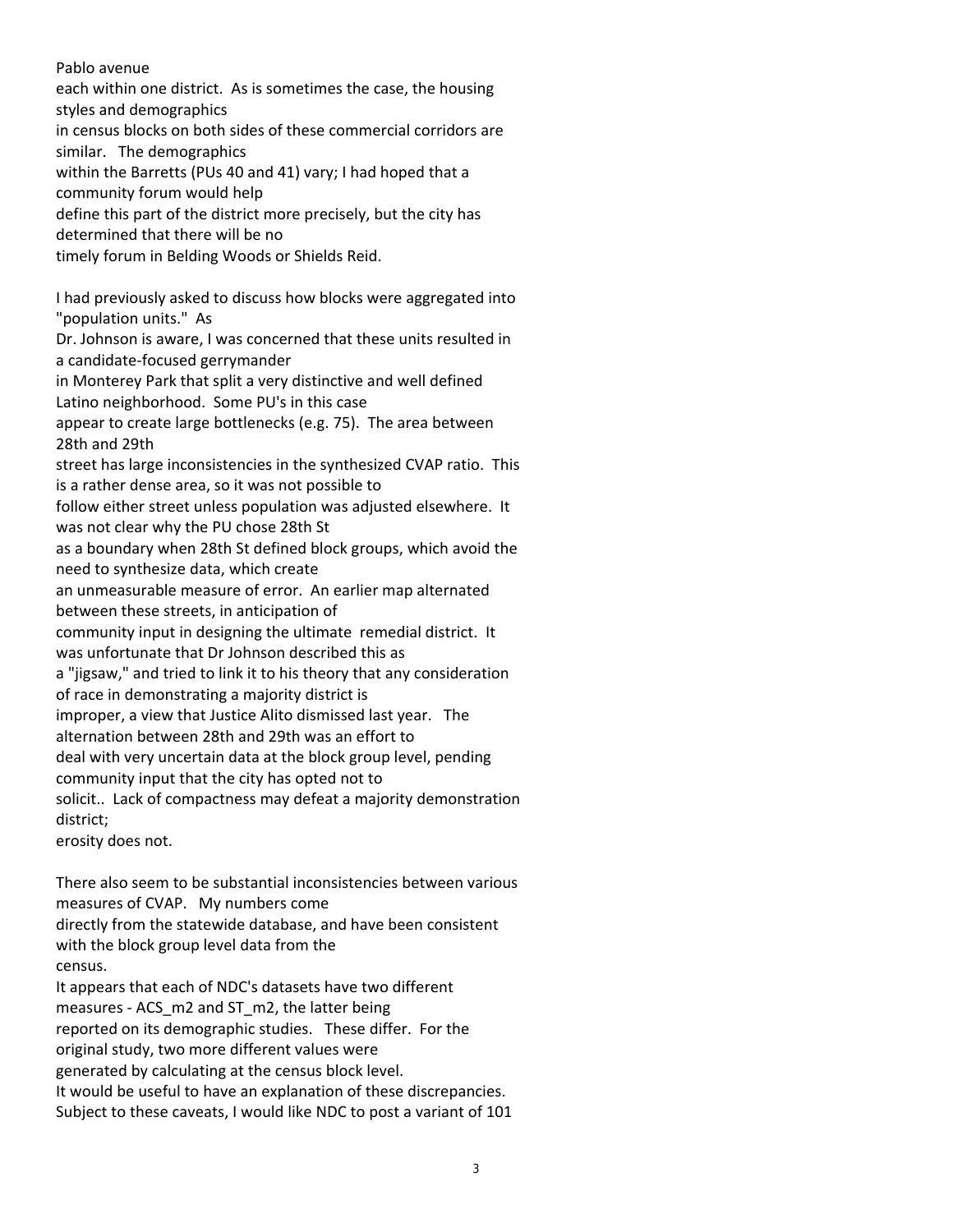Pablo avenue each within one district. As is sometimes the case, the housing styles and demographics in census blocks on both sides of these commercial corridors are similar. The demographics within the Barretts (PUs 40 and 41) vary; I had hoped that a community forum would help define this part of the district more precisely, but the city has determined that there will be no timely forum in Belding Woods or Shields Reid. I had previously asked to discuss how blocks were aggregated into "population units." As Dr. Johnson is aware, I was concerned that these units resulted in a candidate‐focused gerrymander in Monterey Park that split a very distinctive and well defined Latino neighborhood. Some PU's in this case appear to create large bottlenecks (e.g. 75). The area between 28th and 29th street has large inconsistencies in the synthesized CVAP ratio. This is a rather dense area, so it was not possible to follow either street unless population was adjusted elsewhere. It was not clear why the PU chose 28th St as a boundary when 28th St defined block groups, which avoid the need to synthesize data, which create an unmeasurable measure of error. An earlier map alternated between these streets, in anticipation of community input in designing the ultimate remedial district. It was unfortunate that Dr Johnson described this as a "jigsaw," and tried to link it to his theory that any consideration of race in demonstrating a majority district is improper, a view that Justice Alito dismissed last year. The alternation between 28th and 29th was an effort to deal with very uncertain data at the block group level, pending community input that the city has opted not to solicit.. Lack of compactness may defeat a majority demonstration district; erosity does not. There also seem to be substantial inconsistencies between various measures of CVAP. My numbers come directly from the statewide database, and have been consistent with the block group level data from the census.

It appears that each of NDC's datasets have two different measures - ACS m2 and ST m2, the latter being reported on its demographic studies. These differ. For the original study, two more different values were generated by calculating at the census block level. It would be useful to have an explanation of these discrepancies. Subject to these caveats, I would like NDC to post a variant of 101